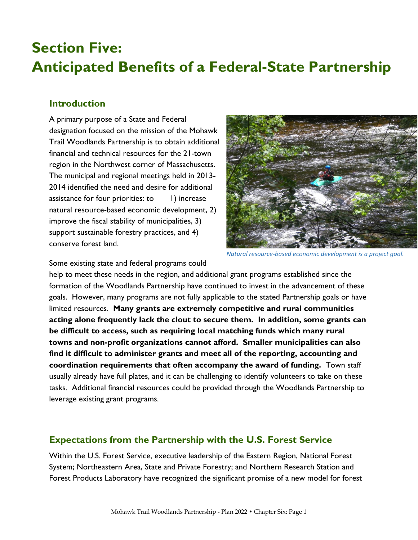# **Section Five: Anticipated Benefits of a Federal-State Partnership**

## **Introduction**

A primary purpose of a State and Federal designation focused on the mission of the Mohawk Trail Woodlands Partnership is to obtain additional financial and technical resources for the 21-town region in the Northwest corner of Massachusetts. The municipal and regional meetings held in 2013- 2014 identified the need and desire for additional assistance for four priorities: to 1) increase natural resource-based economic development, 2) improve the fiscal stability of municipalities, 3) support sustainable forestry practices, and 4) conserve forest land.



*Natural resource-based economic development is a project goal.*

Some existing state and federal programs could

help to meet these needs in the region, and additional grant programs established since the formation of the Woodlands Partnership have continued to invest in the advancement of these goals. However, many programs are not fully applicable to the stated Partnership goals or have limited resources. **Many grants are extremely competitive and rural communities acting alone frequently lack the clout to secure them. In addition, some grants can be difficult to access, such as requiring local matching funds which many rural towns and non-profit organizations cannot afford. Smaller municipalities can also find it difficult to administer grants and meet all of the reporting, accounting and coordination requirements that often accompany the award of funding.** Town staff usually already have full plates, and it can be challenging to identify volunteers to take on these tasks. Additional financial resources could be provided through the Woodlands Partnership to leverage existing grant programs.

# **Expectations from the Partnership with the U.S. Forest Service**

Within the U.S. Forest Service, executive leadership of the Eastern Region, National Forest System; Northeastern Area, State and Private Forestry; and Northern Research Station and Forest Products Laboratory have recognized the significant promise of a new model for forest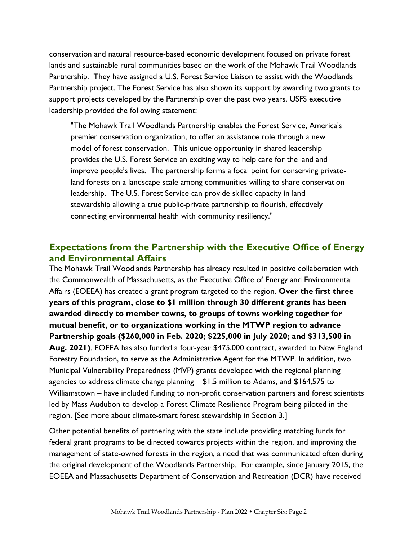conservation and natural resource-based economic development focused on private forest lands and sustainable rural communities based on the work of the Mohawk Trail Woodlands Partnership. They have assigned a U.S. Forest Service Liaison to assist with the Woodlands Partnership project. The Forest Service has also shown its support by awarding two grants to support projects developed by the Partnership over the past two years. USFS executive leadership provided the following statement:

"The Mohawk Trail Woodlands Partnership enables the Forest Service, America's premier conservation organization, to offer an assistance role through a new model of forest conservation. This unique opportunity in shared leadership provides the U.S. Forest Service an exciting way to help care for the land and improve people's lives. The partnership forms a focal point for conserving privateland forests on a landscape scale among communities willing to share conservation leadership. The U.S. Forest Service can provide skilled capacity in land stewardship allowing a true public-private partnership to flourish, effectively connecting environmental health with community resiliency."

## **Expectations from the Partnership with the Executive Office of Energy and Environmental Affairs**

The Mohawk Trail Woodlands Partnership has already resulted in positive collaboration with the Commonwealth of Massachusetts, as the Executive Office of Energy and Environmental Affairs (EOEEA) has created a grant program targeted to the region. **Over the first three years of this program, close to \$1 million through 30 different grants has been awarded directly to member towns, to groups of towns working together for mutual benefit, or to organizations working in the MTWP region to advance Partnership goals (\$260,000 in Feb. 2020; \$225,000 in July 2020; and \$313,500 in Aug. 2021)**. EOEEA has also funded a four-year \$475,000 contract, awarded to New England Forestry Foundation, to serve as the Administrative Agent for the MTWP. In addition, two Municipal Vulnerability Preparedness (MVP) grants developed with the regional planning agencies to address climate change planning – \$1.5 million to Adams, and \$164,575 to Williamstown – have included funding to non-profit conservation partners and forest scientists led by Mass Audubon to develop a Forest Climate Resilience Program being piloted in the region. [See more about climate-smart forest stewardship in Section 3.]

Other potential benefits of partnering with the state include providing matching funds for federal grant programs to be directed towards projects within the region, and improving the management of state-owned forests in the region, a need that was communicated often during the original development of the Woodlands Partnership. For example, since January 2015, the EOEEA and Massachusetts Department of Conservation and Recreation (DCR) have received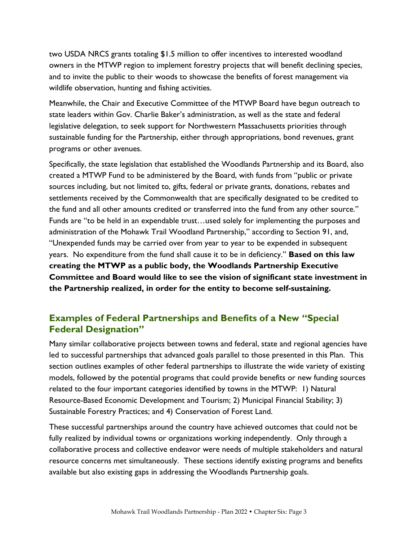two USDA NRCS grants totaling \$1.5 million to offer incentives to interested woodland owners in the MTWP region to implement forestry projects that will benefit declining species, and to invite the public to their woods to showcase the benefits of forest management via wildlife observation, hunting and fishing activities.

Meanwhile, the Chair and Executive Committee of the MTWP Board have begun outreach to state leaders within Gov. Charlie Baker's administration, as well as the state and federal legislative delegation, to seek support for Northwestern Massachusetts priorities through sustainable funding for the Partnership, either through appropriations, bond revenues, grant programs or other avenues.

Specifically, the state legislation that established the Woodlands Partnership and its Board, also created a MTWP Fund to be administered by the Board, with funds from "public or private sources including, but not limited to, gifts, federal or private grants, donations, rebates and settlements received by the Commonwealth that are specifically designated to be credited to the fund and all other amounts credited or transferred into the fund from any other source." Funds are "to be held in an expendable trust…used solely for implementing the purposes and administration of the Mohawk Trail Woodland Partnership," according to Section 91, and, "Unexpended funds may be carried over from year to year to be expended in subsequent years. No expenditure from the fund shall cause it to be in deficiency." **Based on this law creating the MTWP as a public body, the Woodlands Partnership Executive Committee and Board would like to see the vision of significant state investment in the Partnership realized, in order for the entity to become self-sustaining.** 

## **Examples of Federal Partnerships and Benefits of a New "Special Federal Designation"**

Many similar collaborative projects between towns and federal, state and regional agencies have led to successful partnerships that advanced goals parallel to those presented in this Plan. This section outlines examples of other federal partnerships to illustrate the wide variety of existing models, followed by the potential programs that could provide benefits or new funding sources related to the four important categories identified by towns in the MTWP: 1) Natural Resource-Based Economic Development and Tourism; 2) Municipal Financial Stability; 3) Sustainable Forestry Practices; and 4) Conservation of Forest Land.

These successful partnerships around the country have achieved outcomes that could not be fully realized by individual towns or organizations working independently. Only through a collaborative process and collective endeavor were needs of multiple stakeholders and natural resource concerns met simultaneously. These sections identify existing programs and benefits available but also existing gaps in addressing the Woodlands Partnership goals.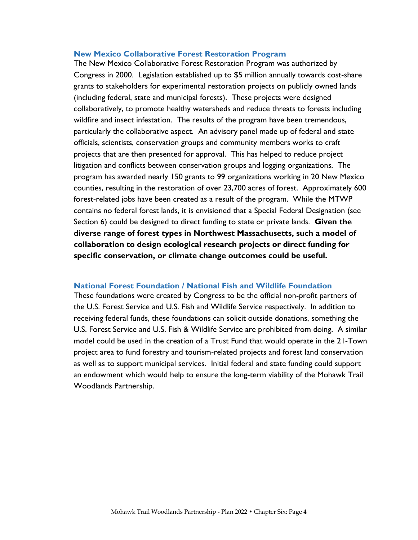#### **New Mexico Collaborative Forest Restoration Program**

The New Mexico Collaborative Forest Restoration Program was authorized by Congress in 2000. Legislation established up to \$5 million annually towards cost-share grants to stakeholders for experimental restoration projects on publicly owned lands (including federal, state and municipal forests). These projects were designed collaboratively, to promote healthy watersheds and reduce threats to forests including wildfire and insect infestation. The results of the program have been tremendous, particularly the collaborative aspect. An advisory panel made up of federal and state officials, scientists, conservation groups and community members works to craft projects that are then presented for approval. This has helped to reduce project litigation and conflicts between conservation groups and logging organizations. The program has awarded nearly 150 grants to 99 organizations working in 20 New Mexico counties, resulting in the restoration of over 23,700 acres of forest. Approximately 600 forest-related jobs have been created as a result of the program. While the MTWP contains no federal forest lands, it is envisioned that a Special Federal Designation (see Section 6) could be designed to direct funding to state or private lands. **Given the diverse range of forest types in Northwest Massachusetts, such a model of collaboration to design ecological research projects or direct funding for specific conservation, or climate change outcomes could be useful.** 

#### **National Forest Foundation / National Fish and Wildlife Foundation**

These foundations were created by Congress to be the official non-profit partners of the U.S. Forest Service and U.S. Fish and Wildlife Service respectively. In addition to receiving federal funds, these foundations can solicit outside donations, something the U.S. Forest Service and U.S. Fish & Wildlife Service are prohibited from doing. A similar model could be used in the creation of a Trust Fund that would operate in the 21-Town project area to fund forestry and tourism-related projects and forest land conservation as well as to support municipal services. Initial federal and state funding could support an endowment which would help to ensure the long-term viability of the Mohawk Trail Woodlands Partnership.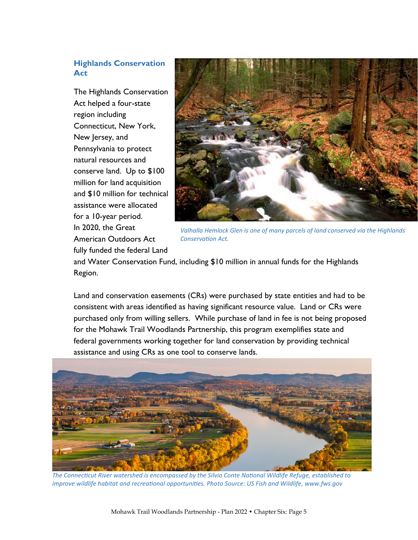## **Highlands Conservation Act**

The Highlands Conservation Act helped a four-state region including Connecticut, New York, New Jersey, and Pennsylvania to protect natural resources and conserve land. Up to \$100 million for land acquisition and \$10 million for technical assistance were allocated for a 10-year period. In 2020, the Great American Outdoors Act fully funded the federal Land



*Valhalla Hemlock Glen is one of many parcels of land conserved via the Highlands Conservation Act.*

and Water Conservation Fund, including \$10 million in annual funds for the Highlands Region.

Land and conservation easements (CRs) were purchased by state entities and had to be consistent with areas identified as having significant resource value. Land or CRs were purchased only from willing sellers. While purchase of land in fee is not being proposed for the Mohawk Trail Woodlands Partnership, this program exemplifies state and federal governments working together for land conservation by providing technical assistance and using CRs as one tool to conserve lands.



*The Connecticut River watershed is encompassed by the Silvio Conte National Wildlife Refuge, established to improve wildlife habitat and recreational opportunities. Photo Source: US Fish and Wildlife, www.fws.gov*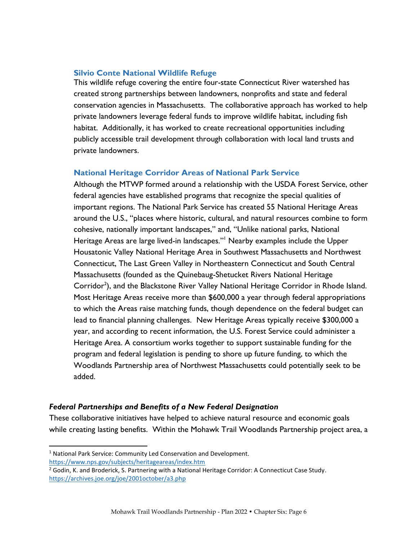#### **Silvio Conte National Wildlife Refuge**

This wildlife refuge covering the entire four-state Connecticut River watershed has created strong partnerships between landowners, nonprofits and state and federal conservation agencies in Massachusetts. The collaborative approach has worked to help private landowners leverage federal funds to improve wildlife habitat, including fish habitat. Additionally, it has worked to create recreational opportunities including publicly accessible trail development through collaboration with local land trusts and private landowners.

#### **National Heritage Corridor Areas of National Park Service**

Although the MTWP formed around a relationship with the USDA Forest Service, other federal agencies have established programs that recognize the special qualities of important regions. The National Park Service has created 55 National Heritage Areas around the U.S., "places where historic, cultural, and natural resources combine to form cohesive, nationally important landscapes," and, "Unlike national parks, National Heritage Areas are large lived-in landscapes." <sup>1</sup> Nearby examples include the Upper Housatonic Valley National Heritage Area in Southwest Massachusetts and Northwest Connecticut, The Last Green Valley in Northeastern Connecticut and South Central Massachusetts (founded as the Quinebaug-Shetucket Rivers National Heritage Corridor<sup>2</sup>), and the Blackstone River Valley National Heritage Corridor in Rhode Island. Most Heritage Areas receive more than \$600,000 a year through federal appropriations to which the Areas raise matching funds, though dependence on the federal budget can lead to financial planning challenges. New Heritage Areas typically receive \$300,000 a year, and according to recent information, the U.S. Forest Service could administer a Heritage Area. A consortium works together to support sustainable funding for the program and federal legislation is pending to shore up future funding, to which the Woodlands Partnership area of Northwest Massachusetts could potentially seek to be added.

#### *Federal Partnerships and Benefits of a New Federal Designation*

These collaborative initiatives have helped to achieve natural resource and economic goals while creating lasting benefits. Within the Mohawk Trail Woodlands Partnership project area, a

<sup>&</sup>lt;sup>1</sup> National Park Service: Community Led Conservation and Development.

[https://www.nps.gov/subjects/heritageareas/index.htm](about:blank)

<sup>&</sup>lt;sup>2</sup> Godin, K. and Broderick, S. Partnering with a National Heritage Corridor: A Connecticut Case Study. [https://archives.joe.org/joe/2001october/a3.php](about:blank)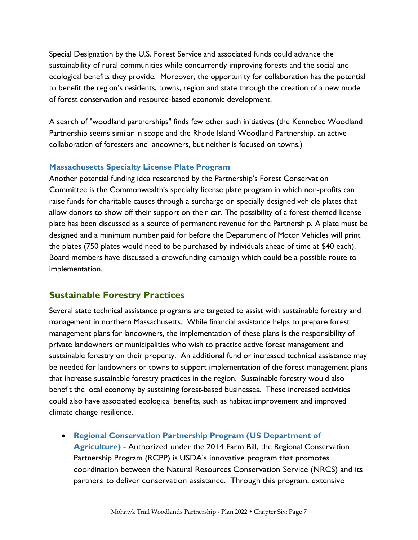Special Designation by the U.S. Forest Service and associated funds could advance the sustainability of rural communities while concurrently improving forests and the social and ecological benefits they provide. Moreover, the opportunity for collaboration has the potential to benefit the region's residents, towns, region and state through the creation of a new model of forest conservation and resource-based economic development.

A search of "woodland partnerships" finds few other such initiatives (the Kennebec Woodland Partnership seems similar in scope and the Rhode Island Woodland Partnership, an active collaboration of foresters and landowners, but neither is focused on towns.)

## **Massachusetts Specialty License Plate Program**

Another potential funding idea researched by the Partnership's Forest Conservation Committee is the Commonwealth's specialty license plate program in which non-profits can raise funds for charitable causes through a surcharge on specially designed vehicle plates that allow donors to show off their support on their car. The possibility of a forest-themed license plate has been discussed as a source of permanent revenue for the Partnership. A plate must be designed and a minimum number paid for before the Department of Motor Vehicles will print the plates (750 plates would need to be purchased by individuals ahead of time at \$40 each). Board members have discussed a crowdfunding campaign which could be a possible route to implementation.

## **Sustainable Forestry Practices**

Several state technical assistance programs are targeted to assist with sustainable forestry and management in northern Massachusetts. While financial assistance helps to prepare forest management plans for landowners, the implementation of these plans is the responsibility of private landowners or municipalities who wish to practice active forest management and sustainable forestry on their property. An additional fund or increased technical assistance may be needed for landowners or towns to support implementation of the forest management plans that increase sustainable forestry practices in the region. Sustainable forestry would also benefit the local economy by sustaining forest-based businesses. These increased activities could also have associated ecological benefits, such as habitat improvement and improved climate change resilience.

• **Regional Conservation Partnership Program (US Department of Agriculture) -** Authorized under the 2014 Farm Bill, the Regional Conservation Partnership Program (RCPP) is USDA's innovative program that promotes coordination between the Natural Resources Conservation Service (NRCS) and its partners to deliver conservation assistance. Through this program, extensive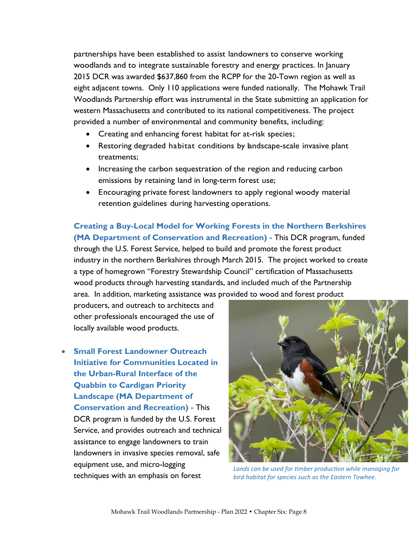partnerships have been established to assist landowners to conserve working woodlands and to integrate sustainable forestry and energy practices. In January 2015 DCR was awarded \$637,860 from the RCPP for the 20-Town region as well as eight adjacent towns. Only 110 applications were funded nationally. The Mohawk Trail Woodlands Partnership effort was instrumental in the State submitting an application for western Massachusetts and contributed to its national competitiveness. The project provided a number of environmental and community benefits, including:

- Creating and enhancing forest habitat for at-risk species;
- Restoring degraded habitat conditions by landscape-scale invasive plant treatments;
- Increasing the carbon sequestration of the region and reducing carbon emissions by retaining land in long-term forest use;
- Encouraging private forest landowners to apply regional woody material retention guidelines during harvesting operations.

**Creating a Buy-Local Model for Working Forests in the Northern Berkshires (MA Department of Conservation and Recreation) -** This DCR program, funded through the U.S. Forest Service, helped to build and promote the forest product industry in the northern Berkshires through March 2015. The project worked to create a type of homegrown "Forestry Stewardship Council" certification of Massachusetts wood products through harvesting standards, and included much of the Partnership area. In addition, marketing assistance was provided to wood and forest product

producers, and outreach to architects and other professionals encouraged the use of locally available wood products.

• **Small Forest Landowner Outreach Initiative for Communities Located in the Urban-Rural Interface of the Quabbin to Cardigan Priority Landscape (MA Department of Conservation and Recreation) -** This DCR program is funded by the U.S. Forest Service, and provides outreach and technical assistance to engage landowners to train landowners in invasive species removal, safe equipment use, and micro-logging techniques with an emphasis on forest



*Lands can be used for timber production while managing for bird habitat for species such as the Eastern Towhee.*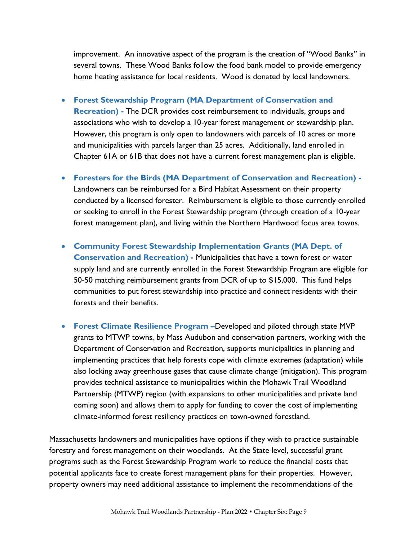improvement. An innovative aspect of the program is the creation of "Wood Banks" in several towns. These Wood Banks follow the food bank model to provide emergency home heating assistance for local residents. Wood is donated by local landowners.

- **Forest Stewardship Program (MA Department of Conservation and Recreation) -** The DCR provides cost reimbursement to individuals, groups and associations who wish to develop a 10-year forest management or stewardship plan. However, this program is only open to landowners with parcels of 10 acres or more and municipalities with parcels larger than 25 acres. Additionally, land enrolled in Chapter 61A or 61B that does not have a current forest management plan is eligible.
- **Foresters for the Birds (MA Department of Conservation and Recreation) -** Landowners can be reimbursed for a Bird Habitat Assessment on their property conducted by a licensed forester. Reimbursement is eligible to those currently enrolled or seeking to enroll in the Forest Stewardship program (through creation of a 10-year forest management plan), and living within the Northern Hardwood focus area towns.
- **Community Forest Stewardship Implementation Grants (MA Dept. of Conservation and Recreation) -** Municipalities that have a town forest or water supply land and are currently enrolled in the Forest Stewardship Program are eligible for 50-50 matching reimbursement grants from DCR of up to \$15,000. This fund helps communities to put forest stewardship into practice and connect residents with their forests and their benefits.
- **Forest Climate Resilience Program –**Developed and piloted through state MVP grants to MTWP towns, by Mass Audubon and conservation partners, working with the Department of Conservation and Recreation, supports municipalities in planning and implementing practices that help forests cope with climate extremes (adaptation) while also locking away greenhouse gases that cause climate change (mitigation). This program provides technical assistance to municipalities within the Mohawk Trail Woodland Partnership (MTWP) region (with expansions to other municipalities and private land coming soon) and allows them to apply for funding to cover the cost of implementing climate-informed forest resiliency practices on town-owned forestland.

Massachusetts landowners and municipalities have options if they wish to practice sustainable forestry and forest management on their woodlands. At the State level, successful grant programs such as the Forest Stewardship Program work to reduce the financial costs that potential applicants face to create forest management plans for their properties. However, property owners may need additional assistance to implement the recommendations of the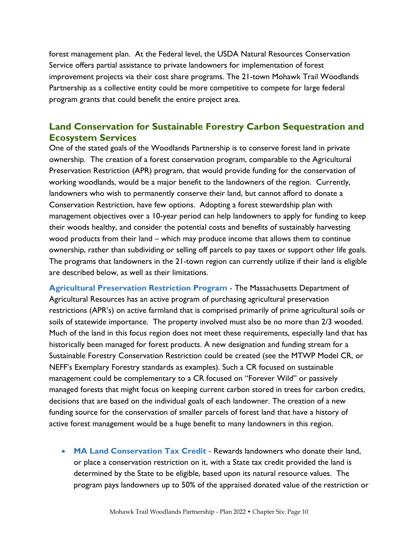forest management plan. At the Federal level, the USDA Natural Resources Conservation Service offers partial assistance to private landowners for implementation of forest improvement projects via their cost share programs. The 21-town Mohawk Trail Woodlands Partnership as a collective entity could be more competitive to compete for large federal program grants that could benefit the entire project area.

## **Land Conservation for Sustainable Forestry Carbon Sequestration and Ecosystem Services**

One of the stated goals of the Woodlands Partnership is to conserve forest land in private ownership. The creation of a forest conservation program, comparable to the Agricultural Preservation Restriction (APR) program, that would provide funding for the conservation of working woodlands, would be a major benefit to the landowners of the region. Currently, landowners who wish to permanently conserve their land, but cannot afford to donate a Conservation Restriction, have few options. Adopting a forest stewardship plan with management objectives over a 10-year period can help landowners to apply for funding to keep their woods healthy, and consider the potential costs and benefits of sustainably harvesting wood products from their land – which may produce income that allows them to continue ownership, rather than subdividing or selling off parcels to pay taxes or support other life goals. The programs that landowners in the 21-town region can currently utilize if their land is eligible are described below, as well as their limitations.

**Agricultural Preservation Restriction Program -** The Massachusetts Department of Agricultural Resources has an active program of purchasing agricultural preservation restrictions (APR's) on active farmland that is comprised primarily of prime agricultural soils or soils of statewide importance. The property involved must also be no more than 2/3 wooded. Much of the land in this focus region does not meet these requirements, especially land that has historically been managed for forest products. A new designation and funding stream for a Sustainable Forestry Conservation Restriction could be created (see the MTWP Model CR, or NEFF's Exemplary Forestry standards as examples). Such a CR focused on sustainable management could be complementary to a CR focused on "Forever Wild" or passively managed forests that might focus on keeping current carbon stored in trees for carbon credits, decisions that are based on the individual goals of each landowner. The creation of a new funding source for the conservation of smaller parcels of forest land that have a history of active forest management would be a huge benefit to many landowners in this region.

• **MA Land Conservation Tax Credit -** Rewards landowners who donate their land, or place a conservation restriction on it, with a State tax credit provided the land is determined by the State to be eligible, based upon its natural resource values. The program pays landowners up to 50% of the appraised donated value of the restriction or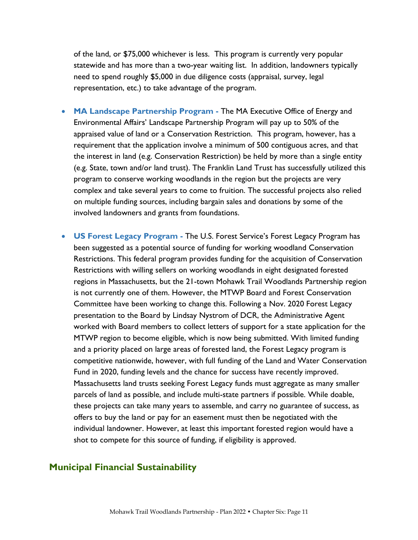of the land, or \$75,000 whichever is less. This program is currently very popular statewide and has more than a two-year waiting list. In addition, landowners typically need to spend roughly \$5,000 in due diligence costs (appraisal, survey, legal representation, etc.) to take advantage of the program.

- **MA Landscape Partnership Program -** The MA Executive Office of Energy and Environmental Affairs' Landscape Partnership Program will pay up to 50% of the appraised value of land or a Conservation Restriction. This program, however, has a requirement that the application involve a minimum of 500 contiguous acres, and that the interest in land (e.g. Conservation Restriction) be held by more than a single entity (e.g. State, town and/or land trust). The Franklin Land Trust has successfully utilized this program to conserve working woodlands in the region but the projects are very complex and take several years to come to fruition. The successful projects also relied on multiple funding sources, including bargain sales and donations by some of the involved landowners and grants from foundations.
- **US Forest Legacy Program -** The U.S. Forest Service's Forest Legacy Program has been suggested as a potential source of funding for working woodland Conservation Restrictions. This federal program provides funding for the acquisition of Conservation Restrictions with willing sellers on working woodlands in eight designated forested regions in Massachusetts, but the 21-town Mohawk Trail Woodlands Partnership region is not currently one of them. However, the MTWP Board and Forest Conservation Committee have been working to change this. Following a Nov. 2020 Forest Legacy presentation to the Board by Lindsay Nystrom of DCR, the Administrative Agent worked with Board members to collect letters of support for a state application for the MTWP region to become eligible, which is now being submitted. With limited funding and a priority placed on large areas of forested land, the Forest Legacy program is competitive nationwide, however, with full funding of the Land and Water Conservation Fund in 2020, funding levels and the chance for success have recently improved. Massachusetts land trusts seeking Forest Legacy funds must aggregate as many smaller parcels of land as possible, and include multi-state partners if possible. While doable, these projects can take many years to assemble, and carry no guarantee of success, as offers to buy the land or pay for an easement must then be negotiated with the individual landowner. However, at least this important forested region would have a shot to compete for this source of funding, if eligibility is approved.

## **Municipal Financial Sustainability**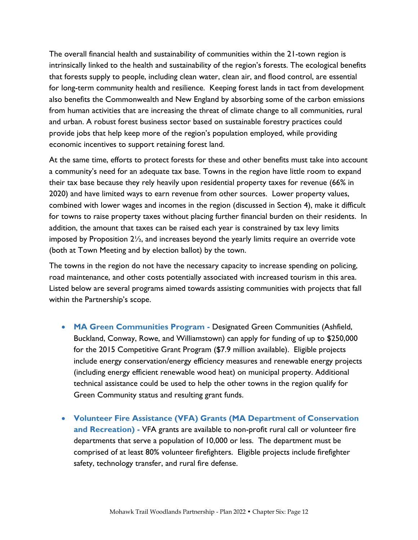The overall financial health and sustainability of communities within the 21-town region is intrinsically linked to the health and sustainability of the region's forests. The ecological benefits that forests supply to people, including clean water, clean air, and flood control, are essential for long-term community health and resilience. Keeping forest lands in tact from development also benefits the Commonwealth and New England by absorbing some of the carbon emissions from human activities that are increasing the threat of climate change to all communities, rural and urban. A robust forest business sector based on sustainable forestry practices could provide jobs that help keep more of the region's population employed, while providing economic incentives to support retaining forest land.

At the same time, efforts to protect forests for these and other benefits must take into account a community's need for an adequate tax base. Towns in the region have little room to expand their tax base because they rely heavily upon residential property taxes for revenue (66% in 2020) and have limited ways to earn revenue from other sources. Lower property values, combined with lower wages and incomes in the region (discussed in Section 4), make it difficult for towns to raise property taxes without placing further financial burden on their residents. In addition, the amount that taxes can be raised each year is constrained by tax levy limits imposed by Proposition 2½, and increases beyond the yearly limits require an override vote (both at Town Meeting and by election ballot) by the town.

The towns in the region do not have the necessary capacity to increase spending on policing, road maintenance, and other costs potentially associated with increased tourism in this area. Listed below are several programs aimed towards assisting communities with projects that fall within the Partnership's scope.

- **MA Green Communities Program -** Designated Green Communities (Ashfield, Buckland, Conway, Rowe, and Williamstown) can apply for funding of up to \$250,000 for the 2015 Competitive Grant Program (\$7.9 million available). Eligible projects include energy conservation/energy efficiency measures and renewable energy projects (including energy efficient renewable wood heat) on municipal property. Additional technical assistance could be used to help the other towns in the region qualify for Green Community status and resulting grant funds.
- **Volunteer Fire Assistance (VFA) Grants (MA Department of Conservation and Recreation) -** VFA grants are available to non-profit rural call or volunteer fire departments that serve a population of 10,000 or less. The department must be comprised of at least 80% volunteer firefighters. Eligible projects include firefighter safety, technology transfer, and rural fire defense.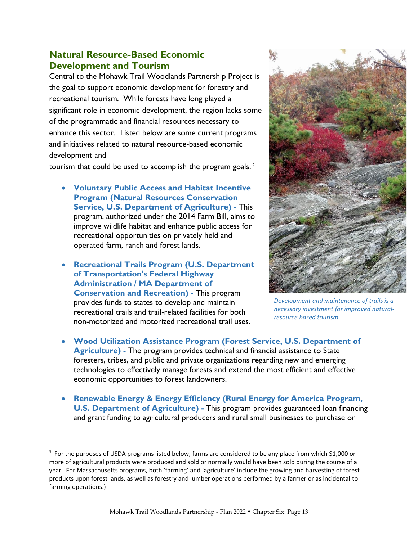# **Natural Resource-Based Economic Development and Tourism**

Central to the Mohawk Trail Woodlands Partnership Project is the goal to support economic development for forestry and recreational tourism. While forests have long played a significant role in economic development, the region lacks some of the programmatic and financial resources necessary to enhance this sector. Listed below are some current programs and initiatives related to natural resource-based economic development and

tourism that could be used to accomplish the program goals. *3*

- **Voluntary Public Access and Habitat Incentive Program (Natural Resources Conservation Service, U.S. Department of Agriculture) -** This program, authorized under the 2014 Farm Bill, aims to improve wildlife habitat and enhance public access for recreational opportunities on privately held and operated farm, ranch and forest lands.
- **Recreational Trails Program (U.S. Department of Transportation's Federal Highway Administration / MA Department of Conservation and Recreation) -** This program provides funds to states to develop and maintain recreational trails and trail-related facilities for both non-motorized and motorized recreational trail uses.



*Development and maintenance of trails is a necessary investment for improved naturalresource based tourism.*

- **Wood Utilization Assistance Program (Forest Service, U.S. Department of Agriculture) -** The program provides technical and financial assistance to State foresters, tribes, and public and private organizations regarding new and emerging technologies to effectively manage forests and extend the most efficient and effective economic opportunities to forest landowners.
- **Renewable Energy & Energy Efficiency (Rural Energy for America Program, U.S. Department of Agriculture) -** This program provides guaranteed loan financing and grant funding to agricultural producers and rural small businesses to purchase or

<sup>&</sup>lt;sup>3</sup> For the purposes of USDA programs listed below, farms are considered to be any place from which \$1,000 or more of agricultural products were produced and sold or normally would have been sold during the course of a year. For Massachusetts programs, both 'farming' and 'agriculture' include the growing and harvesting of forest products upon forest lands, as well as forestry and lumber operations performed by a farmer or as incidental to farming operations.)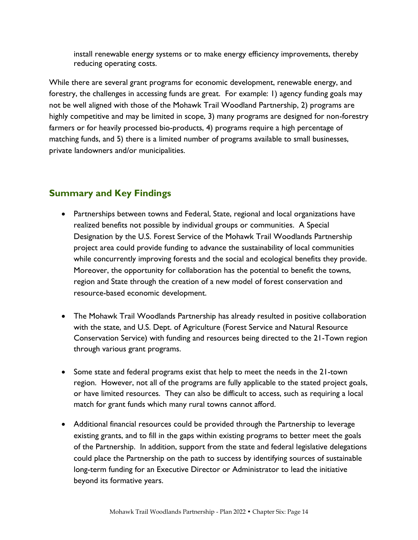install renewable energy systems or to make energy efficiency improvements, thereby reducing operating costs.

While there are several grant programs for economic development, renewable energy, and forestry, the challenges in accessing funds are great. For example: 1) agency funding goals may not be well aligned with those of the Mohawk Trail Woodland Partnership, 2) programs are highly competitive and may be limited in scope, 3) many programs are designed for non-forestry farmers or for heavily processed bio-products, 4) programs require a high percentage of matching funds, and 5) there is a limited number of programs available to small businesses, private landowners and/or municipalities.

# **Summary and Key Findings**

- Partnerships between towns and Federal, State, regional and local organizations have realized benefits not possible by individual groups or communities. A Special Designation by the U.S. Forest Service of the Mohawk Trail Woodlands Partnership project area could provide funding to advance the sustainability of local communities while concurrently improving forests and the social and ecological benefits they provide. Moreover, the opportunity for collaboration has the potential to benefit the towns, region and State through the creation of a new model of forest conservation and resource-based economic development.
- The Mohawk Trail Woodlands Partnership has already resulted in positive collaboration with the state, and U.S. Dept. of Agriculture (Forest Service and Natural Resource Conservation Service) with funding and resources being directed to the 21-Town region through various grant programs.
- Some state and federal programs exist that help to meet the needs in the 21-town region. However, not all of the programs are fully applicable to the stated project goals, or have limited resources. They can also be difficult to access, such as requiring a local match for grant funds which many rural towns cannot afford.
- Additional financial resources could be provided through the Partnership to leverage existing grants, and to fill in the gaps within existing programs to better meet the goals of the Partnership. In addition, support from the state and federal legislative delegations could place the Partnership on the path to success by identifying sources of sustainable long-term funding for an Executive Director or Administrator to lead the initiative beyond its formative years.